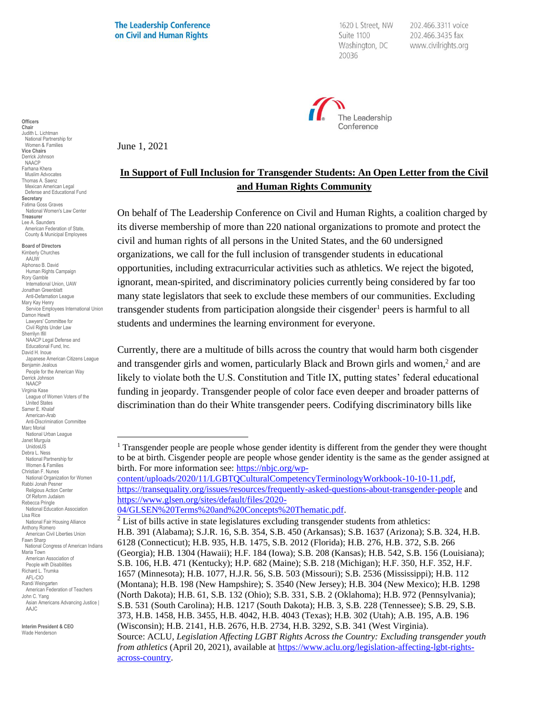**The Leadership Conference** on Civil and Human Rights

June 1, 2021

1620 L Street, NW Suite 1100 Washington, DC 20036

202.466.3311 voice 202.466.3435 fax www.civilrights.org



**In Support of Full Inclusion for Transgender Students: An Open Letter from the Civil and Human Rights Community**

On behalf of The Leadership Conference on Civil and Human Rights, a coalition charged by its diverse membership of more than 220 national organizations to promote and protect the civil and human rights of all persons in the United States, and the 60 undersigned organizations, we call for the full inclusion of transgender students in educational opportunities, including extracurricular activities such as athletics. We reject the bigoted, ignorant, mean-spirited, and discriminatory policies currently being considered by far too many state legislators that seek to exclude these members of our communities. Excluding transgender students from participation alongside their cisgender<sup>1</sup> peers is harmful to all students and undermines the learning environment for everyone.

Currently, there are a multitude of bills across the country that would harm both cisgender and transgender girls and women, particularly Black and Brown girls and women, $2$  and are likely to violate both the U.S. Constitution and Title IX, putting states' federal educational funding in jeopardy. Transgender people of color face even deeper and broader patterns of discrimination than do their White transgender peers. Codifying discriminatory bills like

**Officers Chair** Judith L. Lichtman National Partnership for Women & Families **Vice Chairs** Derrick Johnson NAACP Farhana Khera Muslim Advocates Thomas A. Saenz Mexican American Legal Defense and Educational Fund **Secretary** Fatima Goss Graves National Women's Law Center **Treasurer** Lee A. Saunders American Federation of State, County & Municipal Employees **Board of Directors** Kimberly Churches **AALIW** Alphonso B. David Human Rights Campaign Rory Gamble International Union, UAW Jonathan Greenblatt Anti-Defamation League Mary Kay Henry Service Employees International Union Damon Hewitt Lawyers' Committee for Civil Rights Under Law Sherrilyn Ifill NAACP Legal Defense and Educational Fund, Inc. David H. Inoue Japanese American Citizens League Benjamin Jealous People for the American Way Derrick Johnson NAACP Virginia Kase League of Women Voters of the United States Samer E. Khalaf American-Arab Anti-Discrimination Committee Marc Morial National Urban League Janet Murguía UnidosUS Debra L. Ness National Partnership for Women & Families Christian F. Nunes National Organization for Women Rabbi Jonah Pesner Religious Action Center Of Reform Judaism Rebecca Pringle National Education Association Lisa Rice National Fair Housing Alliance Anthony Romero American Civil Liberties Union Fawn Sharp National Congress of American Indians Maria Town American Association of People with Disabilities Richard L. Trumka AFL-CIO Randi Weingarten American Federation of Teachers John C. Yang Asian Americans Advancing Justice | AAJC.

**Interim President & CEO** Wade Henderson

<sup>&</sup>lt;sup>1</sup> Transgender people are people whose gender identity is different from the gender they were thought to be at birth. Cisgender people are people whose gender identity is the same as the gender assigned at birth. For more information see: [https://nbjc.org/wp-](https://nbjc.org/wp-content/uploads/2020/11/LGBTQCulturalCompetencyTerminologyWorkbook-10-10-11.pdf)

[content/uploads/2020/11/LGBTQCulturalCompetencyTerminologyWorkbook-10-10-11.pdf,](https://nbjc.org/wp-content/uploads/2020/11/LGBTQCulturalCompetencyTerminologyWorkbook-10-10-11.pdf) <https://transequality.org/issues/resources/frequently-asked-questions-about-transgender-people> and [https://www.glsen.org/sites/default/files/2020-](https://www.glsen.org/sites/default/files/2020-04/GLSEN%20Terms%20and%20Concepts%20Thematic.pdf)

[<sup>04/</sup>GLSEN%20Terms%20and%20Concepts%20Thematic.pdf.](https://www.glsen.org/sites/default/files/2020-04/GLSEN%20Terms%20and%20Concepts%20Thematic.pdf)

 $2$  List of bills active in state legislatures excluding transgender students from athletics: H.B. 391 (Alabama); S.J.R. 16, S.B. 354, S.B. 450 (Arkansas); S.B. 1637 (Arizona); S.B. 324, H.B. 6128 (Connecticut); H.B. 935, H.B. 1475, S.B. 2012 (Florida); H.B. 276, H.B. 372, S.B. 266 (Georgia); H.B. 1304 (Hawaii); H.F. 184 (Iowa); S.B. 208 (Kansas); H.B. 542, S.B. 156 (Louisiana); S.B. 106, H.B. 471 (Kentucky); H.P. 682 (Maine); S.B. 218 (Michigan); H.F. 350, H.F. 352, H.F. 1657 (Minnesota); H.B. 1077, H.J.R. 56, S.B. 503 (Missouri); S.B. 2536 (Mississippi); H.B. 112 (Montana); H.B. 198 (New Hampshire); S. 3540 (New Jersey); H.B. 304 (New Mexico); H.B. 1298 (North Dakota); H.B. 61, S.B. 132 (Ohio); S.B. 331, S.B. 2 (Oklahoma); H.B. 972 (Pennsylvania); S.B. 531 (South Carolina); H.B. 1217 (South Dakota); H.B. 3, S.B. 228 (Tennessee); S.B. 29, S.B. 373, H.B. 1458, H.B. 3455, H.B. 4042, H.B. 4043 (Texas); H.B. 302 (Utah); A.B. 195, A.B. 196 (Wisconsin); H.B. 2141, H.B. 2676, H.B. 2734, H.B. 3292, S.B. 341 (West Virginia). Source: ACLU, *Legislation Affecting LGBT Rights Across the Country: Excluding transgender youth from athletics* (April 20, 2021), available at [https://www.aclu.org/legislation-affecting-lgbt-rights](https://www.aclu.org/legislation-affecting-lgbt-rights-across-country)[across-country.](https://www.aclu.org/legislation-affecting-lgbt-rights-across-country)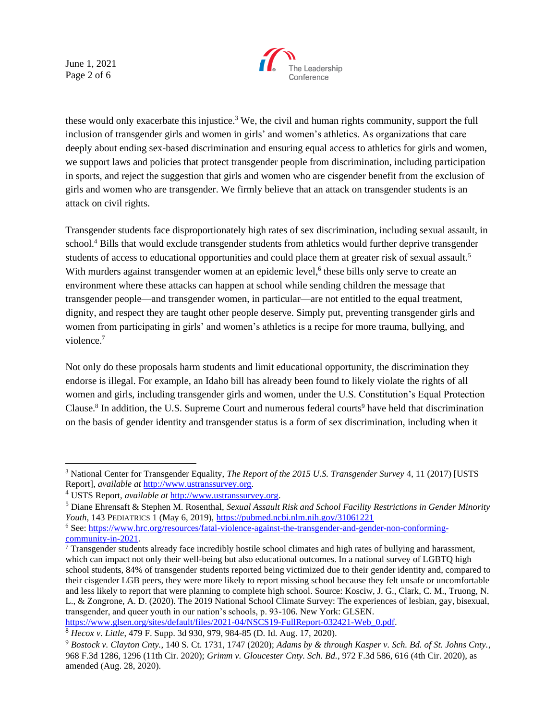June 1, 2021 Page 2 of 6



these would only exacerbate this injustice.<sup>3</sup> We, the civil and human rights community, support the full inclusion of transgender girls and women in girls' and women's athletics. As organizations that care deeply about ending sex-based discrimination and ensuring equal access to athletics for girls and women, we support laws and policies that protect transgender people from discrimination, including participation in sports, and reject the suggestion that girls and women who are cisgender benefit from the exclusion of girls and women who are transgender. We firmly believe that an attack on transgender students is an attack on civil rights.

Transgender students face disproportionately high rates of sex discrimination, including sexual assault, in school.<sup>4</sup> Bills that would exclude transgender students from athletics would further deprive transgender students of access to educational opportunities and could place them at greater risk of sexual assault.<sup>5</sup> With murders against transgender women at an epidemic level,<sup>6</sup> these bills only serve to create an environment where these attacks can happen at school while sending children the message that transgender people—and transgender women, in particular—are not entitled to the equal treatment, dignity, and respect they are taught other people deserve. Simply put, preventing transgender girls and women from participating in girls' and women's athletics is a recipe for more trauma, bullying, and violence.<sup>7</sup>

Not only do these proposals harm students and limit educational opportunity, the discrimination they endorse is illegal. For example, an Idaho bill has already been found to likely violate the rights of all women and girls, including transgender girls and women, under the U.S. Constitution's Equal Protection Clause.<sup>8</sup> In addition, the U.S. Supreme Court and numerous federal courts<sup>9</sup> have held that discrimination on the basis of gender identity and transgender status is a form of sex discrimination, including when it

<sup>7</sup> Transgender students already face incredibly hostile school climates and high rates of bullying and harassment, which can impact not only their well-being but also educational outcomes. In a national survey of LGBTQ high school students, 84% of transgender students reported being victimized due to their gender identity and, compared to their cisgender LGB peers, they were more likely to report missing school because they felt unsafe or uncomfortable and less likely to report that were planning to complete high school. Source: Kosciw, J. G., Clark, C. M., Truong, N. L., & Zongrone, A. D. (2020). The 2019 National School Climate Survey: The experiences of lesbian, gay, bisexual, transgender, and queer youth in our nation's schools, p. 93-106. New York: GLSEN.

[https://www.glsen.org/sites/default/files/2021-04/NSCS19-FullReport-032421-Web\\_0.pdf.](https://www.glsen.org/sites/default/files/2021-04/NSCS19-FullReport-032421-Web_0.pdf)

<sup>3</sup> National Center for Transgender Equality, *The Report of the 2015 U.S. Transgender Survey* 4, 11 (2017) [USTS Report], *available at* [http://www.ustranssurvey.org.](http://www.ustranssurvey.org/)

<sup>4</sup> USTS Report, *available at* [http://www.ustranssurvey.org.](http://www.ustranssurvey.org/)

<sup>5</sup> Diane Ehrensaft & Stephen M. Rosenthal, *Sexual Assault Risk and School Facility Restrictions in Gender Minority Youth*, 143 PEDIATRICS 1 (May 6, 2019)[, https://pubmed.ncbi.nlm.nih.gov/31061221](https://pubmed.ncbi.nlm.nih.gov/31061221)

<sup>6</sup> See: [https://www.hrc.org/resources/fatal-violence-against-the-transgender-and-gender-non-conforming](https://www.hrc.org/resources/fatal-violence-against-the-transgender-and-gender-non-conforming-community-in-2021)[community-in-2021.](https://www.hrc.org/resources/fatal-violence-against-the-transgender-and-gender-non-conforming-community-in-2021)

<sup>8</sup> *Hecox v. Little*, 479 F. Supp. 3d 930, 979, 984-85 (D. Id. Aug. 17, 2020).

<sup>9</sup> *Bostock v. Clayton Cnty.*, 140 S. Ct. 1731, 1747 (2020); *Adams by & through Kasper v. Sch. Bd. of St. Johns Cnty.*, 968 F.3d 1286, 1296 (11th Cir. 2020); *Grimm v. Gloucester Cnty. Sch. Bd.*, 972 F.3d 586, 616 (4th Cir. 2020), as amended (Aug. 28, 2020).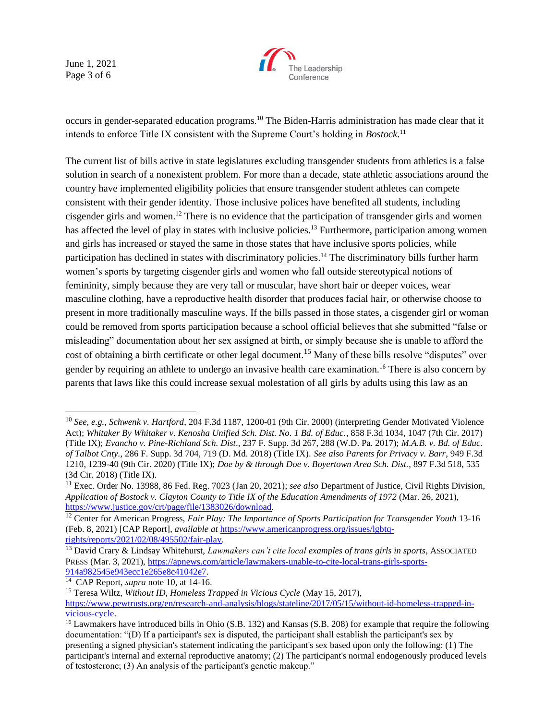June 1, 2021 Page 3 of 6



occurs in gender-separated education programs.<sup>10</sup> The Biden-Harris administration has made clear that it intends to enforce Title IX consistent with the Supreme Court's holding in *Bostock*. 11

The current list of bills active in state legislatures excluding transgender students from athletics is a false solution in search of a nonexistent problem. For more than a decade, state athletic associations around the country have implemented eligibility policies that ensure transgender student athletes can compete consistent with their gender identity. Those inclusive polices have benefited all students, including cisgender girls and women.<sup>12</sup> There is no evidence that the participation of transgender girls and women has affected the level of play in states with inclusive policies.<sup>13</sup> Furthermore, participation among women and girls has increased or stayed the same in those states that have inclusive sports policies, while participation has declined in states with discriminatory policies.<sup>14</sup> The discriminatory bills further harm women's sports by targeting cisgender girls and women who fall outside stereotypical notions of femininity, simply because they are very tall or muscular, have short hair or deeper voices, wear masculine clothing, have a reproductive health disorder that produces facial hair, or otherwise choose to present in more traditionally masculine ways. If the bills passed in those states, a cisgender girl or woman could be removed from sports participation because a school official believes that she submitted "false or misleading" documentation about her sex assigned at birth, or simply because she is unable to afford the cost of obtaining a birth certificate or other legal document.<sup>15</sup> Many of these bills resolve "disputes" over gender by requiring an athlete to undergo an invasive health care examination.<sup>16</sup> There is also concern by parents that laws like this could increase sexual molestation of all girls by adults using this law as an

<sup>14</sup> CAP Report, *supra* note 10, at 14-16.

<sup>10</sup> *See, e.g.*, *Schwenk v. Hartford*, 204 F.3d 1187, 1200-01 (9th Cir. 2000) (interpreting Gender Motivated Violence Act); *Whitaker By Whitaker v. Kenosha Unified Sch. Dist. No. 1 Bd. of Educ.*, 858 F.3d 1034, 1047 (7th Cir. 2017) (Title IX); *Evancho v. Pine-Richland Sch. Dist*., 237 F. Supp. 3d 267, 288 (W.D. Pa. 2017); *M.A.B. v. Bd. of Educ. of Talbot Cnty.*, 286 F. Supp. 3d 704, 719 (D. Md. 2018) (Title IX). *See also Parents for Privacy v. Barr*, 949 F.3d 1210, 1239-40 (9th Cir. 2020) (Title IX); *Doe by & through Doe v. Boyertown Area Sch. Dist.*, 897 F.3d 518, 535 (3d Cir. 2018) (Title IX).

<sup>11</sup> Exec. Order No. 13988, 86 Fed. Reg. 7023 (Jan 20, 2021); *see also* Department of Justice, Civil Rights Division, *Application of Bostock v. Clayton County to Title IX of the Education Amendments of 1972* (Mar. 26, 2021), [https://www.justice.gov/crt/page/file/1383026/download.](https://www.justice.gov/crt/page/file/1383026/download)

<sup>&</sup>lt;sup>12</sup> Center for American Progress, *Fair Play: The Importance of Sports Participation for Transgender Youth* 13-16 (Feb. 8, 2021) [CAP Report], *available at* [https://www.americanprogress.org/issues/lgbtq](https://www.americanprogress.org/issues/lgbtq-rights/reports/2021/02/08/495502/fair-play)[rights/reports/2021/02/08/495502/fair-play.](https://www.americanprogress.org/issues/lgbtq-rights/reports/2021/02/08/495502/fair-play)

<sup>13</sup> David Crary & Lindsay Whitehurst, *Lawmakers can't cite local examples of trans girls in sports*, ASSOCIATED PRESS (Mar. 3, 2021), [https://apnews.com/article/lawmakers-unable-to-cite-local-trans-girls-sports-](https://apnews.com/article/lawmakers-unable-to-cite-local-trans-girls-sports-914a982545e943ecc1e265e8c41042e7)[914a982545e943ecc1e265e8c41042e7.](https://apnews.com/article/lawmakers-unable-to-cite-local-trans-girls-sports-914a982545e943ecc1e265e8c41042e7)

<sup>15</sup> Teresa Wiltz, *Without ID, Homeless Trapped in Vicious Cycle* (May 15, 2017), [https://www.pewtrusts.org/en/research-and-analysis/blogs/stateline/2017/05/15/without-id-homeless-trapped-in](https://www.pewtrusts.org/en/research-and-analysis/blogs/stateline/2017/05/15/without-id-homeless-trapped-in-vicious-cycle)[vicious-cycle.](https://www.pewtrusts.org/en/research-and-analysis/blogs/stateline/2017/05/15/without-id-homeless-trapped-in-vicious-cycle)

<sup>&</sup>lt;sup>16</sup> Lawmakers have introduced bills in Ohio (S.B. 132) and Kansas (S.B. 208) for example that require the following documentation: "(D) If a participant's sex is disputed, the participant shall establish the participant's sex by presenting a signed physician's statement indicating the participant's sex based upon only the following: (1) The participant's internal and external reproductive anatomy; (2) The participant's normal endogenously produced levels of testosterone; (3) An analysis of the participant's genetic makeup."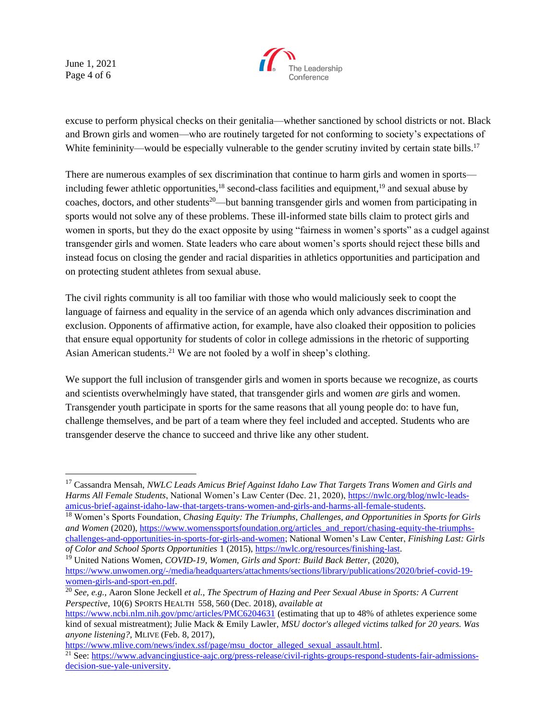June 1, 2021 Page 4 of 6



excuse to perform physical checks on their genitalia—whether sanctioned by school districts or not. Black and Brown girls and women—who are routinely targeted for not conforming to society's expectations of White femininity—would be especially vulnerable to the gender scrutiny invited by certain state bills.<sup>17</sup>

There are numerous examples of sex discrimination that continue to harm girls and women in sports including fewer athletic opportunities, $18$  second-class facilities and equipment,  $19$  and sexual abuse by coaches, doctors, and other students<sup>20</sup>—but banning transgender girls and women from participating in sports would not solve any of these problems. These ill-informed state bills claim to protect girls and women in sports, but they do the exact opposite by using "fairness in women's sports" as a cudgel against transgender girls and women. State leaders who care about women's sports should reject these bills and instead focus on closing the gender and racial disparities in athletics opportunities and participation and on protecting student athletes from sexual abuse.

The civil rights community is all too familiar with those who would maliciously seek to coopt the language of fairness and equality in the service of an agenda which only advances discrimination and exclusion. Opponents of affirmative action, for example, have also cloaked their opposition to policies that ensure equal opportunity for students of color in college admissions in the rhetoric of supporting Asian American students.<sup>21</sup> We are not fooled by a wolf in sheep's clothing.

We support the full inclusion of transgender girls and women in sports because we recognize, as courts and scientists overwhelmingly have stated, that transgender girls and women *are* girls and women. Transgender youth participate in sports for the same reasons that all young people do: to have fun, challenge themselves, and be part of a team where they feel included and accepted. Students who are transgender deserve the chance to succeed and thrive like any other student.

[https://www.mlive.com/news/index.ssf/page/msu\\_doctor\\_alleged\\_sexual\\_assault.html.](https://www.mlive.com/news/index.ssf/page/msu_doctor_alleged_sexual_assault.html)

<sup>17</sup> Cassandra Mensah, *NWLC Leads Amicus Brief Against Idaho Law That Targets Trans Women and Girls and Harms All Female Students*, National Women's Law Center (Dec. 21, 2020), [https://nwlc.org/blog/nwlc-leads](https://nwlc.org/blog/nwlc-leads-amicus-brief-against-idaho-law-that-targets-trans-women-and-girls-and-harms-all-female-students)[amicus-brief-against-idaho-law-that-targets-trans-women-and-girls-and-harms-all-female-students.](https://nwlc.org/blog/nwlc-leads-amicus-brief-against-idaho-law-that-targets-trans-women-and-girls-and-harms-all-female-students)

<sup>18</sup> Women's Sports Foundation, *Chasing Equity: The Triumphs, Challenges, and Opportunities in Sports for Girls and Women (2020)[, https://www.womenssportsfoundation.org/articles\\_and\\_report/chasing-equity-the-triumphs](https://www.womenssportsfoundation.org/articles_and_report/chasing-equity-the-triumphs-challenges-and-opportunities-in-sports-for-girls-and-women)*[challenges-and-opportunities-in-sports-for-girls-and-women;](https://www.womenssportsfoundation.org/articles_and_report/chasing-equity-the-triumphs-challenges-and-opportunities-in-sports-for-girls-and-women) National Women's Law Center, *Finishing Last: Girls of Color and School Sports Opportunities* 1 (2015)[, https://nwlc.org/resources/finishing-last.](https://nwlc.org/resources/finishing-last)

<sup>&</sup>lt;sup>19</sup> United Nations Women, *COVID-19*, Women, *Girls and Sport: Build Back Better*, (2020),

[https://www.unwomen.org/-/media/headquarters/attachments/sections/library/publications/2020/brief-covid-19](https://www.unwomen.org/-/media/headquarters/attachments/sections/library/publications/2020/brief-covid-19-women-girls-and-sport-en.pdf) [women-girls-and-sport-en.pdf.](https://www.unwomen.org/-/media/headquarters/attachments/sections/library/publications/2020/brief-covid-19-women-girls-and-sport-en.pdf)

<sup>20</sup> *See*, *e.g.*, Aaron Slone Jeckell *et al.*, *The Spectrum of Hazing and Peer Sexual Abuse in Sports: A Current Perspective*, 10(6) SPORTS HEALTH 558, 560 (Dec. 2018), *available at* 

<https://www.ncbi.nlm.nih.gov/pmc/articles/PMC6204631> (estimating that up to 48% of athletes experience some kind of sexual mistreatment); Julie Mack & Emily Lawler, *MSU doctor's alleged victims talked for 20 years. Was anyone listening?*, MLIVE (Feb. 8, 2017),

<sup>&</sup>lt;sup>21</sup> See[: https://www.advancingjustice-aajc.org/press-release/civil-rights-groups-respond-students-fair-admissions](https://www.advancingjustice-aajc.org/press-release/civil-rights-groups-respond-students-fair-admissions-decision-sue-yale-university)[decision-sue-yale-university.](https://www.advancingjustice-aajc.org/press-release/civil-rights-groups-respond-students-fair-admissions-decision-sue-yale-university)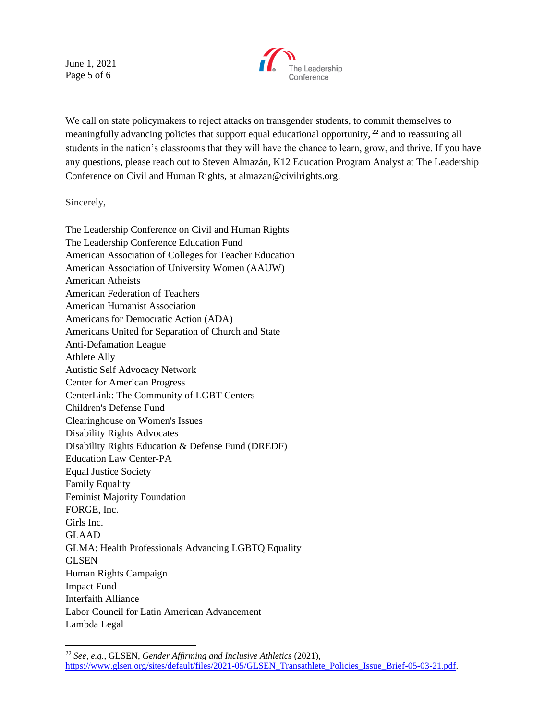June 1, 2021 Page 5 of 6



We call on state policymakers to reject attacks on transgender students, to commit themselves to meaningfully advancing policies that support equal educational opportunity, <sup>22</sup> and to reassuring all students in the nation's classrooms that they will have the chance to learn, grow, and thrive. If you have any questions, please reach out to Steven Almazán, K12 Education Program Analyst at The Leadership Conference on Civil and Human Rights, at almazan@civilrights.org.

Sincerely,

The Leadership Conference on Civil and Human Rights The Leadership Conference Education Fund American Association of Colleges for Teacher Education American Association of University Women (AAUW) American Atheists American Federation of Teachers American Humanist Association Americans for Democratic Action (ADA) Americans United for Separation of Church and State Anti-Defamation League Athlete Ally Autistic Self Advocacy Network Center for American Progress CenterLink: The Community of LGBT Centers Children's Defense Fund Clearinghouse on Women's Issues Disability Rights Advocates Disability Rights Education & Defense Fund (DREDF) Education Law Center-PA Equal Justice Society Family Equality Feminist Majority Foundation FORGE, Inc. Girls Inc. GLAAD GLMA: Health Professionals Advancing LGBTQ Equality **GLSEN** Human Rights Campaign Impact Fund Interfaith Alliance Labor Council for Latin American Advancement Lambda Legal

<sup>22</sup> *See, e.g.,* GLSEN, *Gender Affirming and Inclusive Athletics* (2021), [https://www.glsen.org/sites/default/files/2021-05/GLSEN\\_Transathlete\\_Policies\\_Issue\\_Brief-05-03-21.pdf.](https://www.glsen.org/sites/default/files/2021-05/GLSEN_Transathlete_Policies_Issue_Brief-05-03-21.pdf)